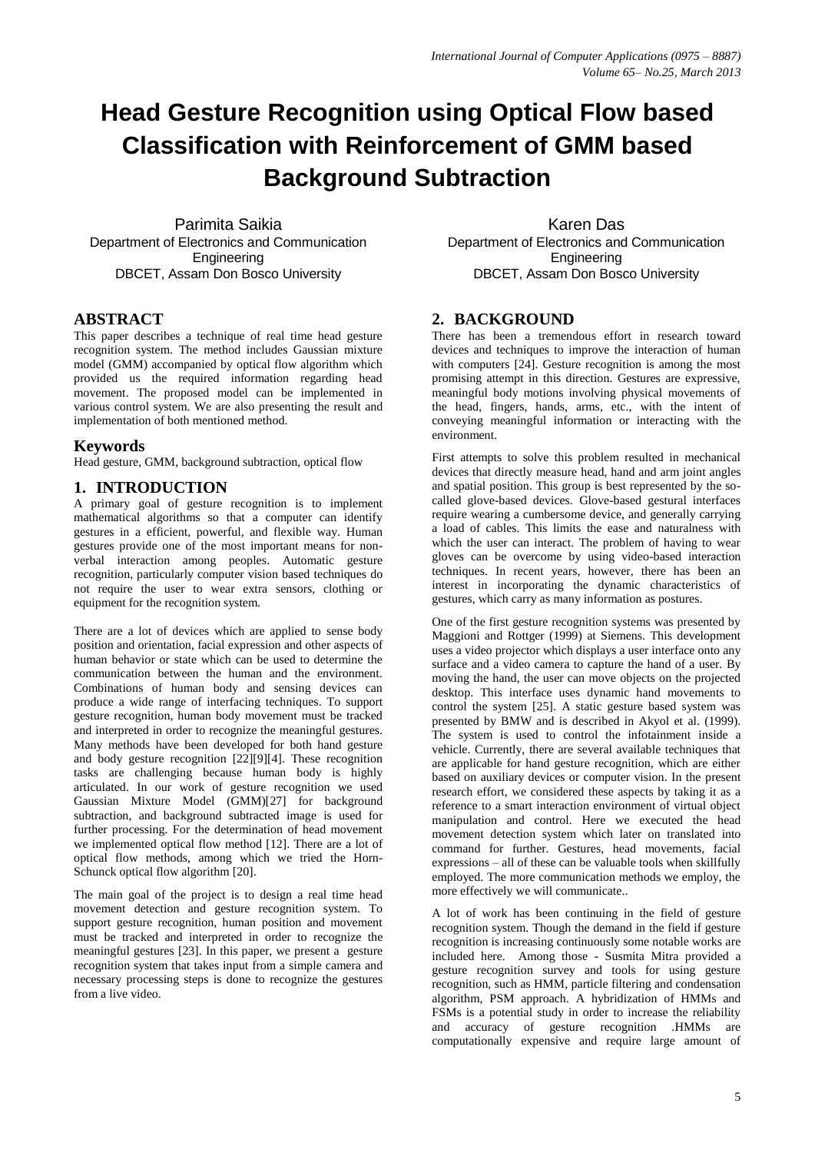# **Head Gesture Recognition using Optical Flow based Classification with Reinforcement of GMM based Background Subtraction**

Parimita Saikia Department of Electronics and Communication **Engineering** DBCET, Assam Don Bosco University

# **ABSTRACT**

This paper describes a technique of real time head gesture recognition system. The method includes Gaussian mixture model (GMM) accompanied by optical flow algorithm which provided us the required information regarding head movement. The proposed model can be implemented in various control system. We are also presenting the result and implementation of both mentioned method.

# **Keywords**

Head gesture, GMM, background subtraction, optical flow

# **1. INTRODUCTION**

A primary goal of gesture recognition is to implement mathematical algorithms so that a computer can identify gestures in a efficient, powerful, and flexible way. Human gestures provide one of the most important means for nonverbal interaction among peoples. Automatic gesture recognition, particularly computer vision based techniques do not require the user to wear extra sensors, clothing or equipment for the recognition system.

There are a lot of devices which are applied to sense body position and orientation, facial expression and other aspects of human behavior or state which can be used to determine the communication between the human and the environment. Combinations of human body and sensing devices can produce a wide range of interfacing techniques. To support gesture recognition, human body movement must be tracked and interpreted in order to recognize the meaningful gestures. Many methods have been developed for both hand gesture and body gesture recognition [22][9][4]. These recognition tasks are challenging because human body is highly articulated. In our work of gesture recognition we used Gaussian Mixture Model (GMM)[27] for background subtraction, and background subtracted image is used for further processing. For the determination of head movement we implemented optical flow method [12]. There are a lot of optical flow methods, among which we tried the Horn-Schunck optical flow algorithm [20].

The main goal of the project is to design a real time head movement detection and gesture recognition system. To support gesture recognition, human position and movement must be tracked and interpreted in order to recognize the meaningful gestures [23]. In this paper, we present a gesture recognition system that takes input from a simple camera and necessary processing steps is done to recognize the gestures from a live video.

Karen Das Department of Electronics and Communication **Engineering** DBCET, Assam Don Bosco University

# **2. BACKGROUND**

There has been a tremendous effort in research toward devices and techniques to improve the interaction of human with computers [24]. Gesture recognition is among the most promising attempt in this direction. Gestures are expressive, meaningful body motions involving physical movements of the head, fingers, hands, arms, etc., with the intent of conveying meaningful information or interacting with the environment.

First attempts to solve this problem resulted in mechanical devices that directly measure head, hand and arm joint angles and spatial position. This group is best represented by the socalled glove-based devices. Glove-based gestural interfaces require wearing a cumbersome device, and generally carrying a load of cables. This limits the ease and naturalness with which the user can interact. The problem of having to wear gloves can be overcome by using video-based interaction techniques. In recent years, however, there has been an interest in incorporating the dynamic characteristics of gestures, which carry as many information as postures.

One of the first gesture recognition systems was presented by Maggioni and Rottger (1999) at Siemens. This development uses a video projector which displays a user interface onto any surface and a video camera to capture the hand of a user. By moving the hand, the user can move objects on the projected desktop. This interface uses dynamic hand movements to control the system [25]. A static gesture based system was presented by BMW and is described in Akyol et al. (1999). The system is used to control the infotainment inside a vehicle. Currently, there are several available techniques that are applicable for hand gesture recognition, which are either based on auxiliary devices or computer vision. In the present research effort, we considered these aspects by taking it as a reference to a smart interaction environment of virtual object manipulation and control. Here we executed the head movement detection system which later on translated into command for further. Gestures, head movements, facial expressions – all of these can be valuable tools when skillfully employed. The more communication methods we employ, the more effectively we will communicate..

A lot of work has been continuing in the field of gesture recognition system. Though the demand in the field if gesture recognition is increasing continuously some notable works are included here. Among those - Susmita Mitra provided a gesture recognition survey and tools for using gesture recognition, such as HMM, particle filtering and condensation algorithm, PSM approach. A hybridization of HMMs and FSMs is a potential study in order to increase the reliability and accuracy of gesture recognition .HMMs are computationally expensive and require large amount of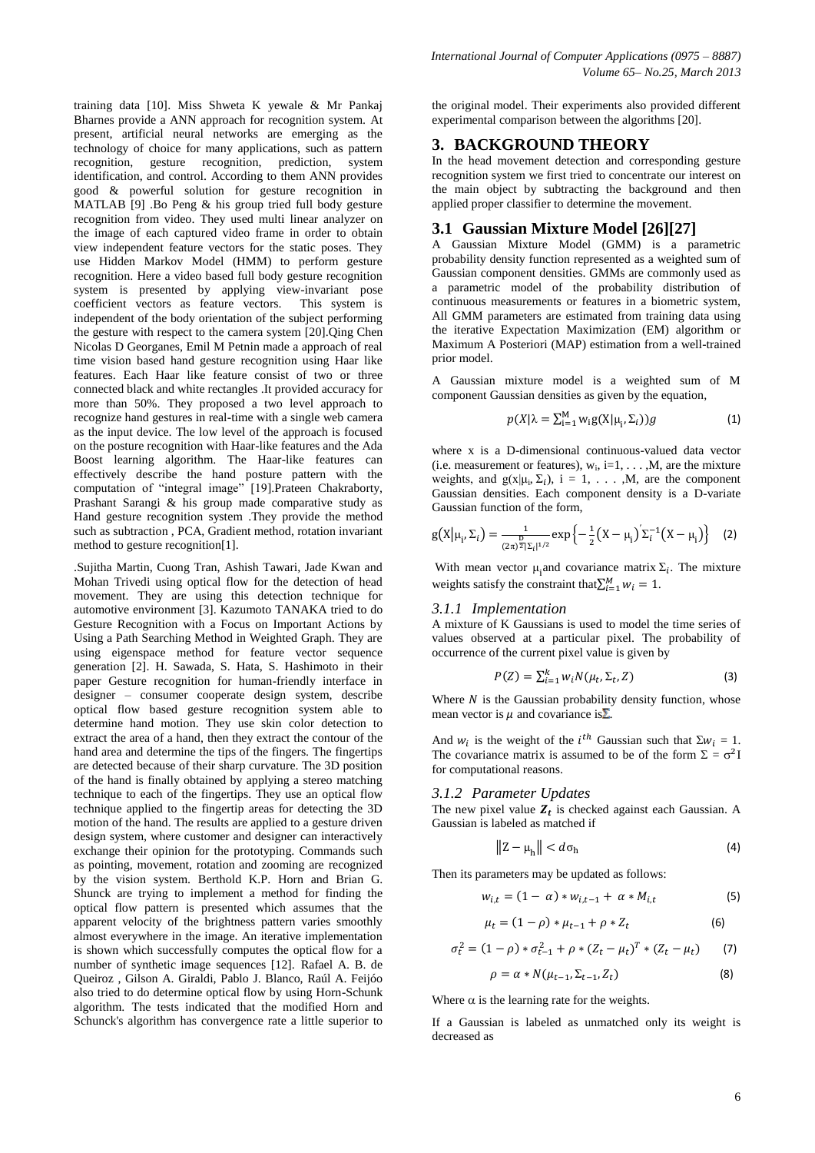training data [10]. Miss Shweta K yewale & Mr Pankaj Bharnes provide a ANN approach for recognition system. At present, artificial neural networks are emerging as the technology of choice for many applications, such as pattern recognition, gesture recognition, prediction, system identification, and control. According to them ANN provides good & powerful solution for gesture recognition in MATLAB [9] .Bo Peng & his group tried full body gesture recognition from video. They used multi linear analyzer on the image of each captured video frame in order to obtain view independent feature vectors for the static poses. They use Hidden Markov Model (HMM) to perform gesture recognition. Here a video based full body gesture recognition system is presented by applying view-invariant pose coefficient vectors as feature vectors. This system is independent of the body orientation of the subject performing the gesture with respect to the camera system [20].Qing Chen Nicolas D Georganes, Emil M Petnin made a approach of real time vision based hand gesture recognition using Haar like features. Each Haar like feature consist of two or three connected black and white rectangles .It provided accuracy for more than 50%. They proposed a two level approach to recognize hand gestures in real-time with a single web camera as the input device. The low level of the approach is focused on the posture recognition with Haar-like features and the Ada Boost learning algorithm. The Haar-like features can effectively describe the hand posture pattern with the computation of "integral image" [19].Prateen Chakraborty, Prashant Sarangi & his group made comparative study as Hand gesture recognition system .They provide the method such as subtraction , PCA, Gradient method, rotation invariant method to gesture recognition[1].

.Sujitha Martin, Cuong Tran, Ashish Tawari, Jade Kwan and Mohan Trivedi using optical flow for the detection of head movement. They are using this detection technique for automotive environment [3]. Kazumoto TANAKA tried to do Gesture Recognition with a Focus on Important Actions by Using a Path Searching Method in Weighted Graph. They are using eigenspace method for feature vector sequence generation [2]. H. Sawada, S. Hata, S. Hashimoto in their paper Gesture recognition for human-friendly interface in designer – consumer cooperate design system, describe optical flow based gesture recognition system able to determine hand motion. They use skin color detection to extract the area of a hand, then they extract the contour of the hand area and determine the tips of the fingers. The fingertips are detected because of their sharp curvature. The 3D position of the hand is finally obtained by applying a stereo matching technique to each of the fingertips. They use an optical flow technique applied to the fingertip areas for detecting the 3D motion of the hand. The results are applied to a gesture driven design system, where customer and designer can interactively exchange their opinion for the prototyping. Commands such as pointing, movement, rotation and zooming are recognized by the vision system. Berthold K.P. Horn and Brian G. Shunck are trying to implement a method for finding the optical flow pattern is presented which assumes that the apparent velocity of the brightness pattern varies smoothly almost everywhere in the image. An iterative implementation is shown which successfully computes the optical flow for a number of synthetic image sequences [12]. Rafael A. B. de Queiroz , Gilson A. Giraldi, Pablo J. Blanco, Raúl A. Feijóo also tried to do determine optical flow by using Horn-Schunk algorithm. The tests indicated that the modified Horn and Schunck's algorithm has convergence rate a little superior to

the original model. Their experiments also provided different experimental comparison between the algorithms [20].

# **3. BACKGROUND THEORY**

In the head movement detection and corresponding gesture recognition system we first tried to concentrate our interest on the main object by subtracting the background and then applied proper classifier to determine the movement.

# **3.1 Gaussian Mixture Model [26][27]**

A Gaussian Mixture Model (GMM) is a parametric probability density function represented as a weighted sum of Gaussian component densities. GMMs are commonly used as a parametric model of the probability distribution of continuous measurements or features in a biometric system, All GMM parameters are estimated from training data using the iterative Expectation Maximization (EM) algorithm or Maximum A Posteriori (MAP) estimation from a well-trained prior model.

A Gaussian mixture model is a weighted sum of M component Gaussian densities as given by the equation,

$$
p(X|\lambda = \sum_{i=1}^{M} w_i g(X|\mu_i, \Sigma_i))g
$$
 (1)

where x is a D-dimensional continuous-valued data vector (i.e. measurement or features),  $w_i$ , i=1, ..., M, are the mixture weights, and  $g(x|\mu_i, \Sigma_i)$ ,  $i = 1, \ldots, M$ , are the component Gaussian densities. Each component density is a D-variate Gaussian function of the form,

$$
g(X|\mu_i, \Sigma_i) = \frac{1}{(2\pi)^{\frac{D}{2}}|\Sigma_i|^{1/2}} \exp\left\{-\frac{1}{2}(X - \mu_i)^{'}\Sigma_i^{-1}(X - \mu_i)\right\}
$$
 (2)

With mean vector  $\mu_i$  and covariance matrix  $\Sigma_i$ . The mixture weights satisfy the constraint that  $\sum_{i=1}^{M} w_i = 1$ .

### *3.1.1 Implementation*

A mixture of K Gaussians is used to model the time series of values observed at a particular pixel. The probability of occurrence of the current pixel value is given by

$$
P(Z) = \sum_{i=1}^{k} w_i N(\mu_t, \Sigma_t, Z)
$$
 (3)

Where  $N$  is the Gaussian probability density function, whose mean vector is  $\mu$  and covariance is  $\Sigma$ .

And  $w_i$  is the weight of the *i*<sup>th</sup> Gaussian such that  $\sum w_i = 1$ . The covariance matrix is assumed to be of the form  $\Sigma = \sigma^2 I$ for computational reasons.

### *3.1.2 Parameter Updates*

The new pixel value  $Z_t$  is checked against each Gaussian. A Gaussian is labeled as matched if

$$
||Z - \mu_h|| < d\sigma_h \tag{4}
$$

Then its parameters may be updated as follows:

$$
w_{i,t} = (1 - \alpha) * w_{i,t-1} + \alpha * M_{i,t}
$$
 (5)

$$
\mu_t = (1 - \rho) * \mu_{t-1} + \rho * Z_t \tag{6}
$$

$$
\sigma_t^2 = (1 - \rho) * \sigma_{t-1}^2 + \rho * (Z_t - \mu_t)^T * (Z_t - \mu_t)
$$
 (7)

$$
\rho = \alpha * N(\mu_{t-1}, \Sigma_{t-1}, Z_t) \tag{8}
$$

Where  $\alpha$  is the learning rate for the weights.

If a Gaussian is labeled as unmatched only its weight is decreased as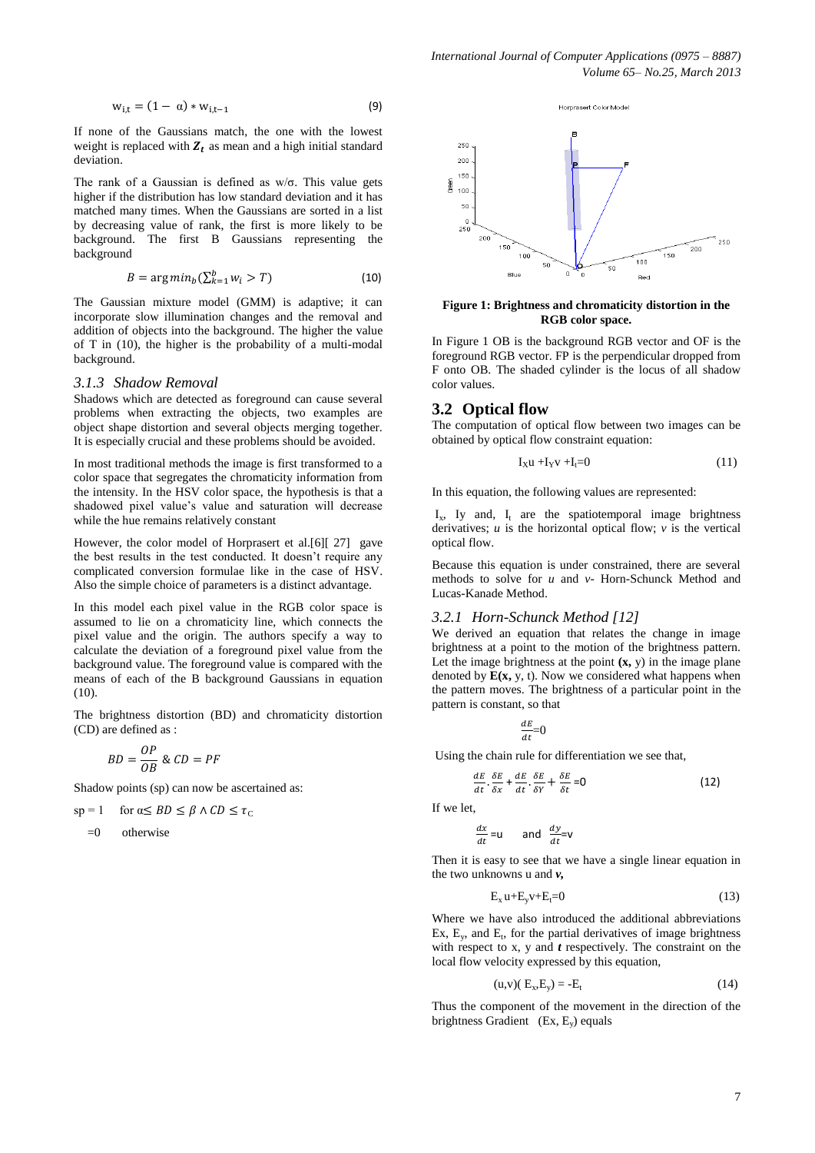$$
w_{i,t} = (1 - \alpha) * w_{i,t-1}
$$
 (9)

If none of the Gaussians match, the one with the lowest weight is replaced with  $Z_t$  as mean and a high initial standard deviation.

The rank of a Gaussian is defined as  $w/\sigma$ . This value gets higher if the distribution has low standard deviation and it has matched many times. When the Gaussians are sorted in a list by decreasing value of rank, the first is more likely to be background. The first B Gaussians representing the background

$$
B = \arg\min_{b} (\sum_{k=1}^{b} w_i > T) \tag{10}
$$

The Gaussian mixture model (GMM) is adaptive; it can incorporate slow illumination changes and the removal and addition of objects into the background. The higher the value of T in (10), the higher is the probability of a multi-modal background.

#### *3.1.3 Shadow Removal*

Shadows which are detected as foreground can cause several problems when extracting the objects, two examples are object shape distortion and several objects merging together. It is especially crucial and these problems should be avoided.

In most traditional methods the image is first transformed to a color space that segregates the chromaticity information from the intensity. In the HSV color space, the hypothesis is that a shadowed pixel value's value and saturation will decrease while the hue remains relatively constant

However, the color model of Horprasert et al.[6][ 27] gave the best results in the test conducted. It doesn't require any complicated conversion formulae like in the case of HSV. Also the simple choice of parameters is a distinct advantage.

In this model each pixel value in the RGB color space is assumed to lie on a chromaticity line, which connects the pixel value and the origin. The authors specify a way to calculate the deviation of a foreground pixel value from the background value. The foreground value is compared with the means of each of the B background Gaussians in equation (10).

The brightness distortion (BD) and chromaticity distortion (CD) are defined as :

$$
BD = \frac{OP}{OB} \& CD = PI
$$

Shadow points (sp) can now be ascertained as:

$$
sp = 1 \quad \text{for } \alpha \le BD \le \beta \land CD \le \tau_C
$$

$$
=0
$$
 otherwise



**Figure 1: Brightness and chromaticity distortion in the RGB color space.**

In Figure 1 OB is the background RGB vector and OF is the foreground RGB vector. FP is the perpendicular dropped from F onto OB. The shaded cylinder is the locus of all shadow color values.

#### **3.2 Optical flow**

The computation of optical flow between two images can be obtained by optical flow constraint equation:

$$
I_X u + I_Y v + I_t = 0 \tag{11}
$$

In this equation, the following values are represented:

 $I_x$ , Iy and,  $I_t$  are the spatiotemporal image brightness derivatives;  $u$  is the horizontal optical flow;  $v$  is the vertical optical flow.

Because this equation is under constrained, there are several methods to solve for *u* and *v*- Horn-Schunck Method and Lucas-Kanade Method.

#### *3.2.1 Horn-Schunck Method [12]*

We derived an equation that relates the change in image brightness at a point to the motion of the brightness pattern. Let the image brightness at the point  $(x, y)$  in the image plane denoted by  $E(x, y, t)$ . Now we considered what happens when the pattern moves. The brightness of a particular point in the pattern is constant, so that

$$
\tfrac{dE}{dt}{=}0
$$

Using the chain rule for differentiation we see that,

$$
\frac{E}{t} \cdot \frac{\delta E}{\delta x} + \frac{dE}{dt} \cdot \frac{\delta E}{\delta y} + \frac{\delta E}{\delta t} = 0
$$
 (12)

If we let,

 $\boldsymbol{d}$  $\overline{d}$ 

$$
\frac{dx}{dt} = u \qquad \text{and} \quad \frac{dy}{dt} = v
$$

Then it is easy to see that we have a single linear equation in the two unknowns u and *v,*

$$
E_x u + E_y v + E_t = 0 \tag{13}
$$

Where we have also introduced the additional abbreviations Ex,  $E_y$ , and  $E_t$ , for the partial derivatives of image brightness with respect to x, y and *t* respectively. The constraint on the local flow velocity expressed by this equation,

$$
(u,v)(E_x,E_y) = -E_t \tag{14}
$$

Thus the component of the movement in the direction of the brightness Gradient (Ex, E<sub>y</sub>) equals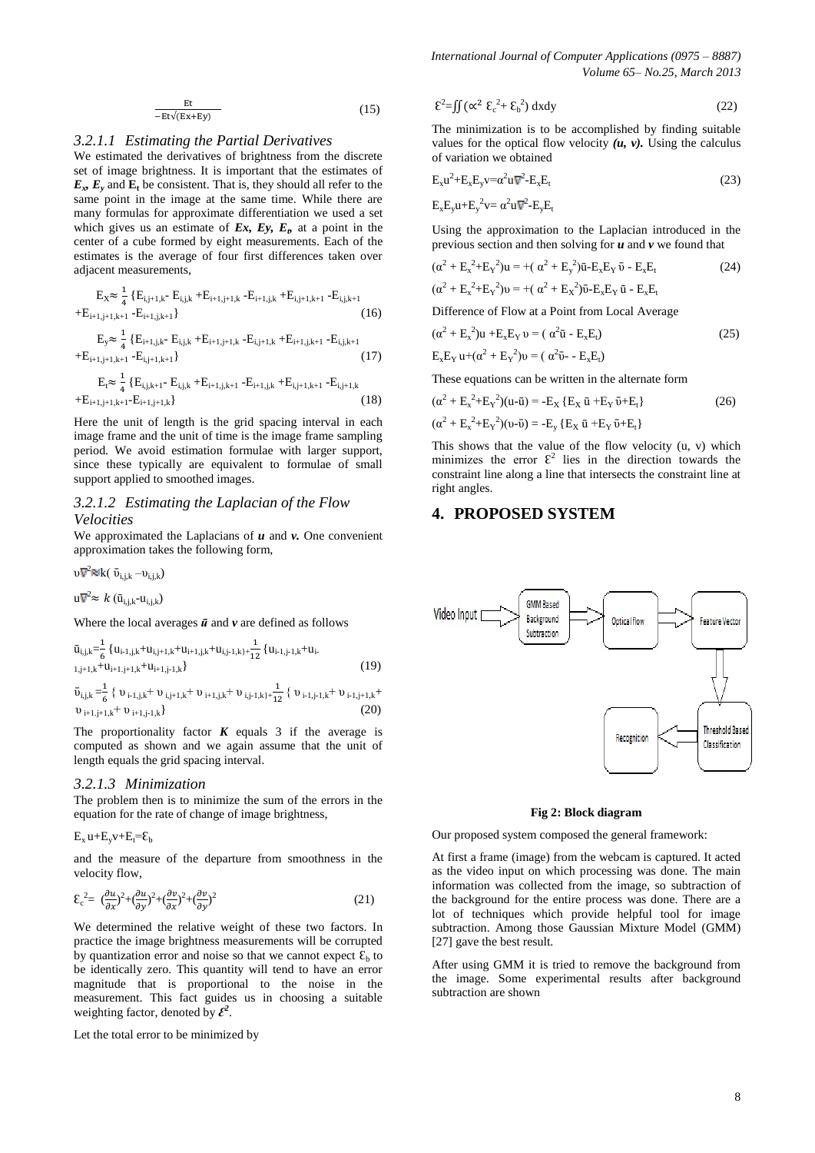$$
\frac{Et}{-Et\sqrt{(Ex+Ey)}}
$$
 (15)

#### *3.2.1.1 Estimating the Partial Derivatives*

We estimated the derivatives of brightness from the discrete set of image brightness. It is important that the estimates of  $E_x$ ,  $E_y$  and  $E_t$  be consistent. That is, they should all refer to the same point in the image at the same time. While there are many formulas for approximate differentiation we used a set which gives us an estimate of  $Ex$ ,  $Ey$ ,  $E<sub>b</sub>$  at a point in the center of a cube formed by eight measurements. Each of the estimates is the average of four first differences taken over adjacent measurements,

$$
\begin{array}{c}\mathrm{E}_{\mathrm{X}}\!\!\approx\frac{1}{4}\left\{\mathrm{E}_{\mathrm{i},j+1,k^{-}}\,\mathrm{E}_{\mathrm{i},j,k}+\!\mathrm{E}_{\mathrm{i}+1,j+1,k}\,\textrm{-}\mathrm{E}_{\mathrm{i}+1,j,k}+\!\mathrm{E}_{\mathrm{i},j+1,k+1}\,\textrm{-}\mathrm{E}_{\mathrm{i},j,k+1}\right.\\ \left.\left.+ \mathrm{E}_{\mathrm{i}+1,j+1,k+1}\,\textrm{-}\mathrm{E}_{\mathrm{i}+1,j,k+1}\right\}\end{array}\,(16)
$$

$$
E_y \approx \frac{1}{4} \{ E_{i+1,j,k} - E_{i,j,k} + E_{i+1,j+1,k} - E_{i,j+1,k} + E_{i+1,j,k+1} - E_{i,j,k+1} - E_{i,j+1,k+1} \} \tag{17}
$$

$$
\begin{aligned} E_t &\approx \tfrac{1}{4} \left\{ E_{i,j,k+1} \!\!\!- E_{i,j,k} + \!\!E_{i+1,j,k+1} \!\!\!- \!\!E_{i+1,j,k} + \!\!E_{i,j+1,k+1} \!\!\!- \!\!E_{i,j+1,k} \right. \\ &\left. + E_{i+1,j+1,k+1} \!\!\!- \!\!E_{i+1,j+1,k} \right\} \end{aligned} \tag{18}
$$

Here the unit of length is the grid spacing interval in each image frame and the unit of time is the image frame sampling period. We avoid estimation formulae with larger support, since these typically are equivalent to formulae of small support applied to smoothed images.

#### *3.2.1.2 Estimating the Laplacian of the Flow Velocities*

We approximated the Laplacians of *u* and *v.* One convenient approximation takes the following form,

$$
\upsilon\overline{\mathsf{V}}^2\mathsf{Nk}(\bar{\upsilon}_{i,j,k}-\upsilon_{i,j,k})
$$

u $\nabla^2$ ≈  $k$  (ū<sub>i,j,k</sub>-u<sub>i,j,k</sub>)

Where the local averages  $\vec{u}$  and  $v$  are defined as follows

$$
\bar{u}_{i,j,k} = \frac{1}{6} \{ u_{i-1,j,k} + u_{i,j+1,k} + u_{i+1,j,k} + u_{i,j-1,k} + \frac{1}{12} \{ u_{i-1,j-1,k} + u_{i+1,j+1,k} + u_{i+1,j+1,k} + u_{i+1,j+1,k} \} \tag{19}
$$
\n
$$
\bar{v}_{i,j,k} = \frac{1}{6} \{ v_{i-1,j,k} + v_{i,j+1,k} + v_{i+1,j,k} + v_{i,j-1,k} + v_{i,j-1,k} + v_{i-1,j+1,k} \tag{20}
$$

 $\mathcal{A}$ 

The proportionality factor  $K$  equals 3 if the average is computed as shown and we again assume that the unit of length equals the grid spacing interval.

#### *3.2.1.3 Minimization*

The problem then is to minimize the sum of the errors in the equation for the rate of change of image brightness,

$$
E_x u + E_y v + E_t = \epsilon_b
$$

and the measure of the departure from smoothness in the velocity flow,

$$
\mathcal{E}_c^2 = \left(\frac{\partial u}{\partial x}\right)^2 + \left(\frac{\partial u}{\partial y}\right)^2 + \left(\frac{\partial v}{\partial x}\right)^2 + \left(\frac{\partial v}{\partial y}\right)^2\tag{21}
$$

We determined the relative weight of these two factors. In practice the image brightness measurements will be corrupted by quantization error and noise so that we cannot expect  $\mathcal{E}_b$  to be identically zero. This quantity will tend to have an error magnitude that is proportional to the noise in the measurement. This fact guides us in choosing a suitable weighting factor, denoted by  $\mathcal{E}^2$ .

Let the total error to be minimized by

$$
\mathcal{E}^2 = \iint (\alpha^2 \ \mathcal{E}_c^2 + \mathcal{E}_b^2) \ dx dy \tag{22}
$$

The minimization is to be accomplished by finding suitable values for the optical flow velocity  $(u, v)$ . Using the calculus of variation we obtained

$$
E_x u^2 + E_x E_y v = \alpha^2 u \nabla^2 - E_x E_t
$$
\n(23)

$$
E_x E_y u + E_y^2 v = \alpha^2 u \nabla^2 - E_y E_t
$$

Using the approximation to the Laplacian introduced in the previous section and then solving for *u* and *v* we found that

$$
(\alpha^{2} + E_{x}^{2} + E_{Y}^{2})u = +(\alpha^{2} + E_{y}^{2})\bar{u} - E_{x}E_{Y}\bar{v} - E_{x}E_{t}
$$
\n
$$
(\alpha^{2} + E_{x}^{2} + E_{Y}^{2})v = +(\alpha^{2} + E_{X}^{2})\bar{v} - E_{x}E_{Y}\bar{u} - E_{x}E_{t}
$$
\n(24)

Difference of Flow at a Point from Local Average

$$
(\alpha^2 + \mathbf{E}_x^2)\mathbf{u} + \mathbf{E}_x\mathbf{E}_Y\mathbf{v} = (\alpha^2\mathbf{\bar{u}} - \mathbf{E}_x\mathbf{E}_t)
$$
  
\n
$$
\mathbf{E}_x\mathbf{E}_Y\mathbf{u} + (\alpha^2 + \mathbf{E}_Y^2)\mathbf{v} = (\alpha^2\mathbf{\bar{v}} - \mathbf{E}_x\mathbf{E}_t)
$$
\n(25)

These equations can be written in the alternate form

$$
(\alpha^{2} + E_{x}^{2} + E_{y}^{2})(u - \bar{u}) = -E_{X} \{ E_{X} \bar{u} + E_{Y} \bar{v} + E_{t} \}
$$
  
(26)  

$$
(\alpha^{2} + E_{x}^{2} + E_{Y}^{2})(v - \bar{v}) = -E_{y} \{ E_{X} \bar{u} + E_{Y} \bar{v} + E_{t} \}
$$

This shows that the value of the flow velocity (u, v) which minimizes the error  $\mathcal{E}^2$  lies in the direction towards the constraint line along a line that intersects the constraint line at right angles.

### **4. PROPOSED SYSTEM**



#### **Fig 2: Block diagram**

Our proposed system composed the general framework:

At first a frame (image) from the webcam is captured. It acted as the video input on which processing was done. The main information was collected from the image, so subtraction of the background for the entire process was done. There are a lot of techniques which provide helpful tool for image subtraction. Among those Gaussian Mixture Model (GMM) [27] gave the best result.

After using GMM it is tried to remove the background from the image. Some experimental results after background subtraction are shown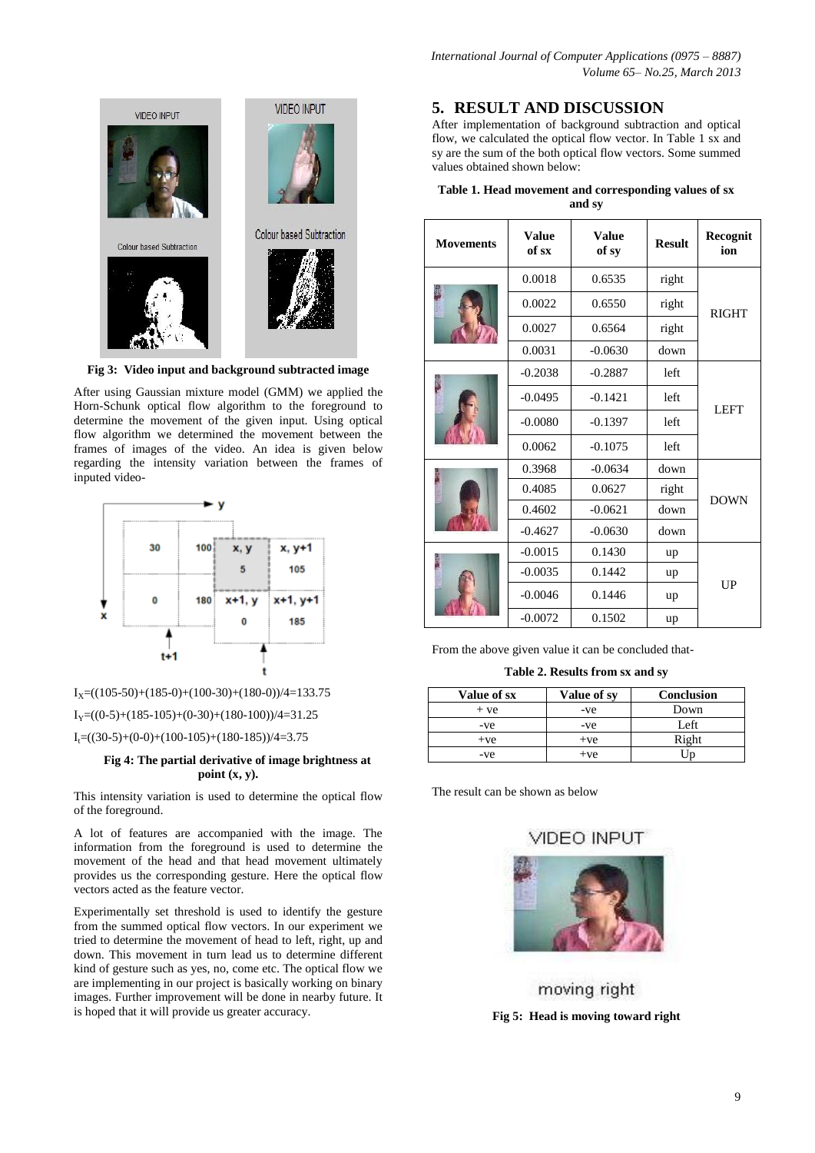

**Fig 3: Video input and background subtracted image**

After using Gaussian mixture model (GMM) we applied the Horn-Schunk optical flow algorithm to the foreground to determine the movement of the given input. Using optical flow algorithm we determined the movement between the frames of images of the video. An idea is given below regarding the intensity variation between the frames of inputed video-



 $I_X=( (105-50)+(185-0)+(100-30)+(180-0))/4=133.75$ 

 $I_y=($ (0-5)+(185-105)+(0-30)+(180-100))/4=31.25

 $I<sub>t</sub>=(30-5)+(0-0)+(100-105)+(180-185))/4=3.75$ 

#### **Fig 4: The partial derivative of image brightness at point (x, y).**

This intensity variation is used to determine the optical flow of the foreground.

A lot of features are accompanied with the image. The information from the foreground is used to determine the movement of the head and that head movement ultimately provides us the corresponding gesture. Here the optical flow vectors acted as the feature vector.

Experimentally set threshold is used to identify the gesture from the summed optical flow vectors. In our experiment we tried to determine the movement of head to left, right, up and down. This movement in turn lead us to determine different kind of gesture such as yes, no, come etc. The optical flow we are implementing in our project is basically working on binary images. Further improvement will be done in nearby future. It is hoped that it will provide us greater accuracy.

## **5. RESULT AND DISCUSSION**

After implementation of background subtraction and optical flow, we calculated the optical flow vector. In Table 1 sx and sy are the sum of the both optical flow vectors. Some summed values obtained shown below:

| Table 1. Head movement and corresponding values of sx |  |  |  |  |
|-------------------------------------------------------|--|--|--|--|
| and sv                                                |  |  |  |  |

| <b>Movements</b> | <b>Value</b><br>of sx | <b>Value</b><br>of sy | <b>Result</b> | Recognit<br>ion |
|------------------|-----------------------|-----------------------|---------------|-----------------|
|                  | 0.0018                | 0.6535                | right         |                 |
|                  | 0.0022                | 0.6550                | right         | <b>RIGHT</b>    |
|                  | 0.0027                | 0.6564                | right         |                 |
|                  | 0.0031                | $-0.0630$             | down          |                 |
|                  | $-0.2038$             | $-0.2887$             | left          |                 |
|                  | $-0.0495$             | $-0.1421$             | left          | <b>LEFT</b>     |
|                  | $-0.0080$             | $-0.1397$             | left          |                 |
|                  | 0.0062                | $-0.1075$             | left          |                 |
|                  | 0.3968                | $-0.0634$             | down          |                 |
|                  | 0.4085                | 0.0627                | right         |                 |
|                  | 0.4602                | $-0.0621$             | down          | <b>DOWN</b>     |
|                  | $-0.4627$             | $-0.0630$             | down          |                 |
|                  | $-0.0015$             | 0.1430                | up            |                 |
|                  | $-0.0035$             | 0.1442                | up            |                 |
|                  | $-0.0046$             | 0.1446                | up            | UP              |
|                  | $-0.0072$             | 0.1502                | up            |                 |

From the above given value it can be concluded that-

#### **Table 2. Results from sx and sy**

| Value of sx | Value of sy | <b>Conclusion</b> |
|-------------|-------------|-------------------|
| $+ve$       | -ve         | Down              |
| -ve         | -ve         | Left              |
| $+ve$       | $+ve$       | Right             |
| -ve         | $+ve$       |                   |

The result can be shown as below



moving right **Fig 5: Head is moving toward right**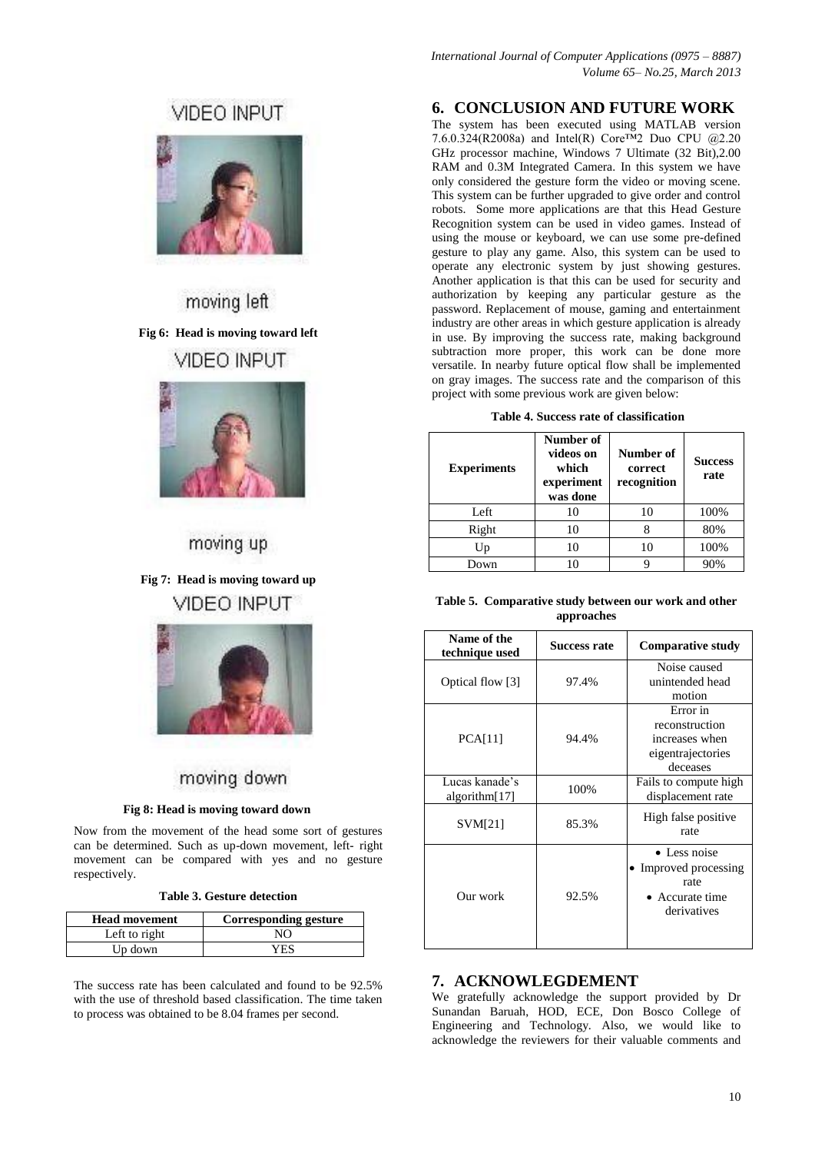# VIDEO INPUT



moving left **Fig 6: Head is moving toward left** VIDEO INPUT



# moving up

**Fig 7: Head is moving toward up VIDEO INPUT** 



# moving down

#### **Fig 8: Head is moving toward down**

Now from the movement of the head some sort of gestures can be determined. Such as up-down movement, left- right movement can be compared with yes and no gesture respectively.

|  |  |  |  | Table 3. Gesture detection |
|--|--|--|--|----------------------------|
|--|--|--|--|----------------------------|

| <b>Head movement</b> | <b>Corresponding gesture</b> |
|----------------------|------------------------------|
| Left to right        | NO                           |
| Up down              | YES                          |

The success rate has been calculated and found to be 92.5% with the use of threshold based classification. The time taken to process was obtained to be 8.04 frames per second.

## **6. CONCLUSION AND FUTURE WORK**

The system has been executed using MATLAB version 7.6.0.324(R2008a) and Intel(R) Core™2 Duo CPU @2.20 GHz processor machine, Windows 7 Ultimate (32 Bit),2.00 RAM and 0.3M Integrated Camera. In this system we have only considered the gesture form the video or moving scene. This system can be further upgraded to give order and control robots. Some more applications are that this Head Gesture Recognition system can be used in video games. Instead of using the mouse or keyboard, we can use some pre-defined gesture to play any game. Also, this system can be used to operate any electronic system by just showing gestures. Another application is that this can be used for security and authorization by keeping any particular gesture as the password. Replacement of mouse, gaming and entertainment industry are other areas in which gesture application is already in use. By improving the success rate, making background subtraction more proper, this work can be done more versatile. In nearby future optical flow shall be implemented on gray images. The success rate and the comparison of this project with some previous work are given below:

|  |  |  | Table 4. Success rate of classification |
|--|--|--|-----------------------------------------|
|--|--|--|-----------------------------------------|

| <b>Experiments</b> | Number of<br>videos on<br>which<br>experiment<br>was done | Number of<br>correct<br>recognition | <b>Success</b><br>rate |
|--------------------|-----------------------------------------------------------|-------------------------------------|------------------------|
| Left               | 10                                                        | 10                                  | 100%                   |
| Right              | 10                                                        | 8                                   | 80%                    |
| Up                 | 10                                                        | 10                                  | 100%                   |
| Down               | 10                                                        | q                                   | 90%                    |

|            | Table 5. Comparative study between our work and other |  |  |  |
|------------|-------------------------------------------------------|--|--|--|
| approaches |                                                       |  |  |  |

| Name of the<br>technique used   | <b>Success rate</b> | <b>Comparative study</b>                                                                |
|---------------------------------|---------------------|-----------------------------------------------------------------------------------------|
| Optical flow [3]                | 97.4%               | Noise caused<br>unintended head<br>motion                                               |
| PCA[11]                         | 94.4%               | Error in<br>reconstruction<br>increases when<br>eigentrajectories<br>deceases           |
| Lucas kanade's<br>algorithm[17] | 100%                | Fails to compute high<br>displacement rate                                              |
| SVM[21]                         | 85.3%               | High false positive<br>rate                                                             |
| Our work                        | 92.5%               | $\bullet$ Less noise<br>• Improved processing<br>rate<br>• Accurate time<br>derivatives |

### **7. ACKNOWLEGDEMENT**

We gratefully acknowledge the support provided by Dr Sunandan Baruah, HOD, ECE, Don Bosco College of Engineering and Technology. Also, we would like to acknowledge the reviewers for their valuable comments and